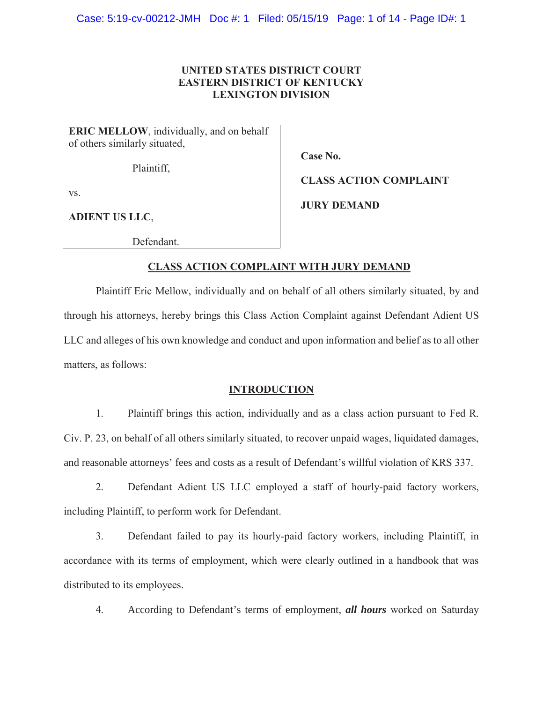## **UNITED STATES DISTRICT COURT EASTERN DISTRICT OF KENTUCKY LEXINGTON DIVISION**

**ERIC MELLOW**, individually, and on behalf of others similarly situated,

Plaintiff,

**Case No.** 

**JURY DEMAND**

**CLASS ACTION COMPLAINT**

vs.

**ADIENT US LLC**,

Defendant.

# **CLASS ACTION COMPLAINT WITH JURY DEMAND**

Plaintiff Eric Mellow, individually and on behalf of all others similarly situated, by and through his attorneys, hereby brings this Class Action Complaint against Defendant Adient US LLC and alleges of his own knowledge and conduct and upon information and belief as to all other matters, as follows:

### **INTRODUCTION**

1. Plaintiff brings this action, individually and as a class action pursuant to Fed R. Civ. P. 23, on behalf of all others similarly situated, to recover unpaid wages, liquidated damages, and reasonable attorneys' fees and costs as a result of Defendant's willful violation of KRS 337.

2. Defendant Adient US LLC employed a staff of hourly-paid factory workers, including Plaintiff, to perform work for Defendant.

3. Defendant failed to pay its hourly-paid factory workers, including Plaintiff, in accordance with its terms of employment, which were clearly outlined in a handbook that was distributed to its employees.

4. According to Defendant's terms of employment, *all hours* worked on Saturday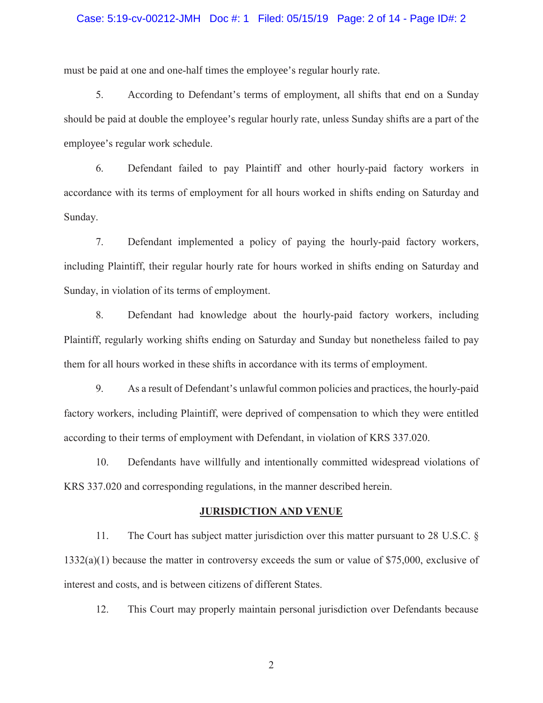### Case: 5:19-cv-00212-JMH Doc #: 1 Filed: 05/15/19 Page: 2 of 14 - Page ID#: 2

must be paid at one and one-half times the employee's regular hourly rate.

5. According to Defendant's terms of employment, all shifts that end on a Sunday should be paid at double the employee's regular hourly rate, unless Sunday shifts are a part of the employee's regular work schedule.

6. Defendant failed to pay Plaintiff and other hourly-paid factory workers in accordance with its terms of employment for all hours worked in shifts ending on Saturday and Sunday.

7. Defendant implemented a policy of paying the hourly-paid factory workers, including Plaintiff, their regular hourly rate for hours worked in shifts ending on Saturday and Sunday, in violation of its terms of employment.

8. Defendant had knowledge about the hourly-paid factory workers, including Plaintiff, regularly working shifts ending on Saturday and Sunday but nonetheless failed to pay them for all hours worked in these shifts in accordance with its terms of employment.

9. As a result of Defendant's unlawful common policies and practices, the hourly-paid factory workers, including Plaintiff, were deprived of compensation to which they were entitled according to their terms of employment with Defendant, in violation of KRS 337.020.

10. Defendants have willfully and intentionally committed widespread violations of KRS 337.020 and corresponding regulations, in the manner described herein.

#### **JURISDICTION AND VENUE**

11. The Court has subject matter jurisdiction over this matter pursuant to 28 U.S.C. §  $1332(a)(1)$  because the matter in controversy exceeds the sum or value of \$75,000, exclusive of interest and costs, and is between citizens of different States.

12. This Court may properly maintain personal jurisdiction over Defendants because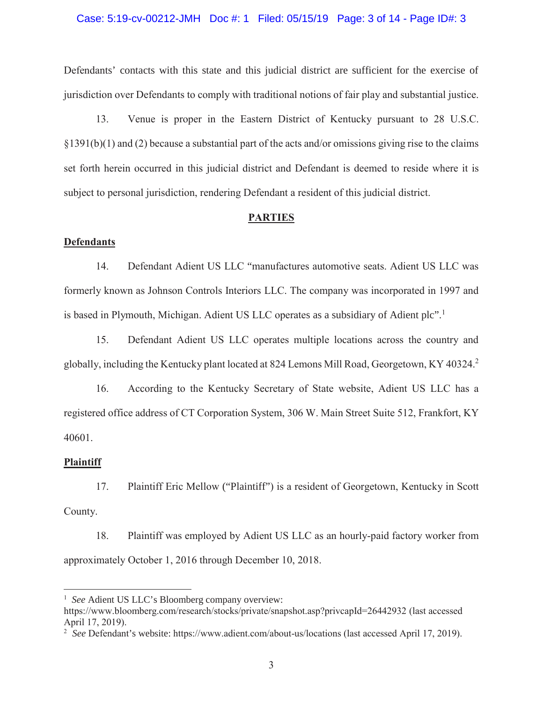### Case: 5:19-cv-00212-JMH Doc #: 1 Filed: 05/15/19 Page: 3 of 14 - Page ID#: 3

Defendants' contacts with this state and this judicial district are sufficient for the exercise of jurisdiction over Defendants to comply with traditional notions of fair play and substantial justice.

13. Venue is proper in the Eastern District of Kentucky pursuant to 28 U.S.C. §1391(b)(1) and (2) because a substantial part of the acts and/or omissions giving rise to the claims set forth herein occurred in this judicial district and Defendant is deemed to reside where it is subject to personal jurisdiction, rendering Defendant a resident of this judicial district.

#### **PARTIES**

### **Defendants**

14. Defendant Adient US LLC "manufactures automotive seats. Adient US LLC was formerly known as Johnson Controls Interiors LLC. The company was incorporated in 1997 and is based in Plymouth, Michigan. Adient US LLC operates as a subsidiary of Adient plc".<sup>1</sup>

15. Defendant Adient US LLC operates multiple locations across the country and globally, including the Kentucky plant located at 824 Lemons Mill Road, Georgetown, KY 40324.<sup>2</sup>

16. According to the Kentucky Secretary of State website, Adient US LLC has a registered office address of CT Corporation System, 306 W. Main Street Suite 512, Frankfort, KY 40601.

#### **Plaintiff**

 $\overline{a}$ 

17. Plaintiff Eric Mellow ("Plaintiff") is a resident of Georgetown, Kentucky in Scott County.

18. Plaintiff was employed by Adient US LLC as an hourly-paid factory worker from approximately October 1, 2016 through December 10, 2018.

<sup>&</sup>lt;sup>1</sup> *See* Adient US LLC's Bloomberg company overview:

https://www.bloomberg.com/research/stocks/private/snapshot.asp?privcapId=26442932 (last accessed April 17, 2019).

<sup>&</sup>lt;sup>2</sup> See Defendant's website: https://www.adient.com/about-us/locations (last accessed April 17, 2019).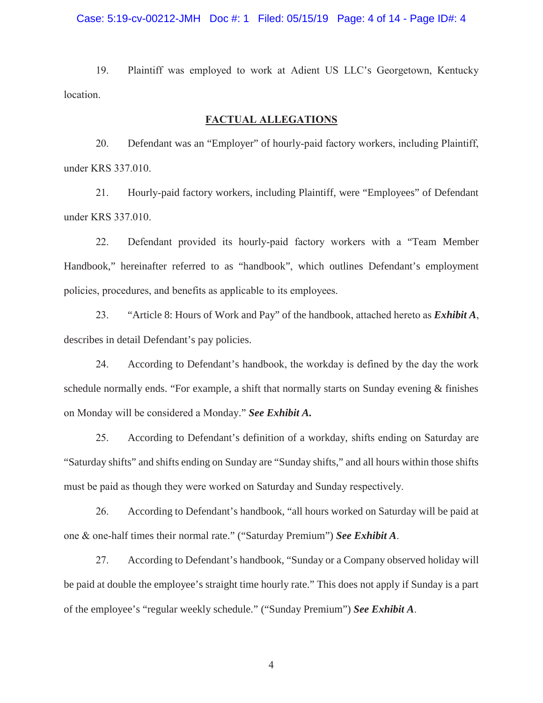### Case: 5:19-cv-00212-JMH Doc #: 1 Filed: 05/15/19 Page: 4 of 14 - Page ID#: 4

19. Plaintiff was employed to work at Adient US LLC's Georgetown, Kentucky location.

## **FACTUAL ALLEGATIONS**

20. Defendant was an "Employer" of hourly-paid factory workers, including Plaintiff, under KRS 337.010.

21. Hourly-paid factory workers, including Plaintiff, were "Employees" of Defendant under KRS 337.010.

22. Defendant provided its hourly-paid factory workers with a "Team Member Handbook," hereinafter referred to as "handbook", which outlines Defendant's employment policies, procedures, and benefits as applicable to its employees.

23. "Article 8: Hours of Work and Pay" of the handbook, attached hereto as *Exhibit A*, describes in detail Defendant's pay policies.

24. According to Defendant's handbook, the workday is defined by the day the work schedule normally ends. "For example, a shift that normally starts on Sunday evening & finishes on Monday will be considered a Monday." *See Exhibit A.*

25. According to Defendant's definition of a workday, shifts ending on Saturday are "Saturday shifts" and shifts ending on Sunday are "Sunday shifts," and all hours within those shifts must be paid as though they were worked on Saturday and Sunday respectively.

26. According to Defendant's handbook, "all hours worked on Saturday will be paid at one & one-half times their normal rate." ("Saturday Premium") *See Exhibit A*.

27. According to Defendant's handbook, "Sunday or a Company observed holiday will be paid at double the employee's straight time hourly rate." This does not apply if Sunday is a part of the employee's "regular weekly schedule." ("Sunday Premium") *See Exhibit A*.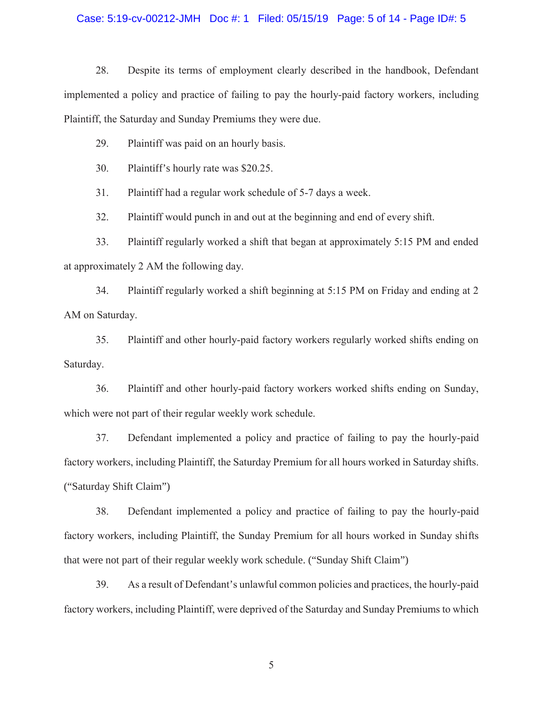### Case: 5:19-cv-00212-JMH Doc #: 1 Filed: 05/15/19 Page: 5 of 14 - Page ID#: 5

28. Despite its terms of employment clearly described in the handbook, Defendant implemented a policy and practice of failing to pay the hourly-paid factory workers, including Plaintiff, the Saturday and Sunday Premiums they were due.

29. Plaintiff was paid on an hourly basis.

30. Plaintiff's hourly rate was \$20.25.

31. Plaintiff had a regular work schedule of 5-7 days a week.

32. Plaintiff would punch in and out at the beginning and end of every shift.

33. Plaintiff regularly worked a shift that began at approximately 5:15 PM and ended at approximately 2 AM the following day.

34. Plaintiff regularly worked a shift beginning at 5:15 PM on Friday and ending at 2 AM on Saturday.

35. Plaintiff and other hourly-paid factory workers regularly worked shifts ending on Saturday.

36. Plaintiff and other hourly-paid factory workers worked shifts ending on Sunday, which were not part of their regular weekly work schedule.

37. Defendant implemented a policy and practice of failing to pay the hourly-paid factory workers, including Plaintiff, the Saturday Premium for all hours worked in Saturday shifts. ("Saturday Shift Claim")

38. Defendant implemented a policy and practice of failing to pay the hourly-paid factory workers, including Plaintiff, the Sunday Premium for all hours worked in Sunday shifts that were not part of their regular weekly work schedule. ("Sunday Shift Claim")

39. As a result of Defendant's unlawful common policies and practices, the hourly-paid factory workers, including Plaintiff, were deprived of the Saturday and Sunday Premiums to which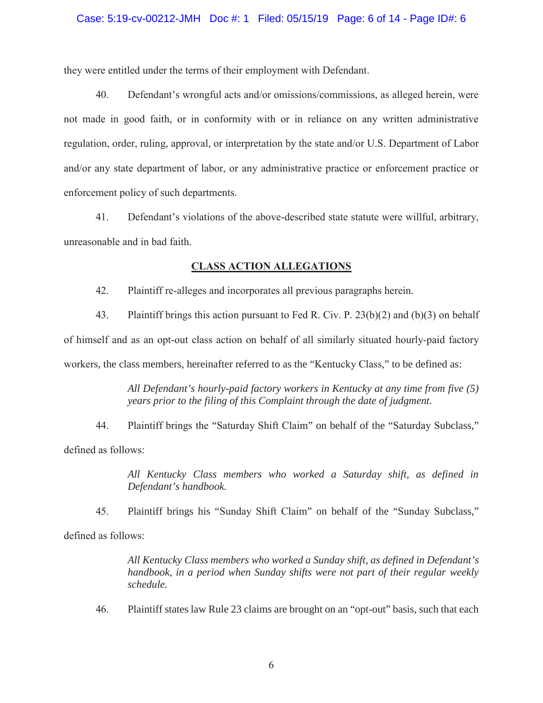they were entitled under the terms of their employment with Defendant.

40. Defendant's wrongful acts and/or omissions/commissions, as alleged herein, were not made in good faith, or in conformity with or in reliance on any written administrative regulation, order, ruling, approval, or interpretation by the state and/or U.S. Department of Labor and/or any state department of labor, or any administrative practice or enforcement practice or enforcement policy of such departments.

41. Defendant's violations of the above-described state statute were willful, arbitrary, unreasonable and in bad faith.

## **CLASS ACTION ALLEGATIONS**

42. Plaintiff re-alleges and incorporates all previous paragraphs herein.

43. Plaintiff brings this action pursuant to Fed R. Civ. P. 23(b)(2) and (b)(3) on behalf of himself and as an opt-out class action on behalf of all similarly situated hourly-paid factory workers, the class members, hereinafter referred to as the "Kentucky Class," to be defined as:

> *All Defendant's hourly-paid factory workers in Kentucky at any time from five (5) years prior to the filing of this Complaint through the date of judgment.*

44. Plaintiff brings the "Saturday Shift Claim" on behalf of the "Saturday Subclass," defined as follows:

> *All Kentucky Class members who worked a Saturday shift, as defined in Defendant's handbook.*

45. Plaintiff brings his "Sunday Shift Claim" on behalf of the "Sunday Subclass," defined as follows:

> *All Kentucky Class members who worked a Sunday shift, as defined in Defendant's handbook, in a period when Sunday shifts were not part of their regular weekly schedule.*

46. Plaintiff states law Rule 23 claims are brought on an "opt-out" basis, such that each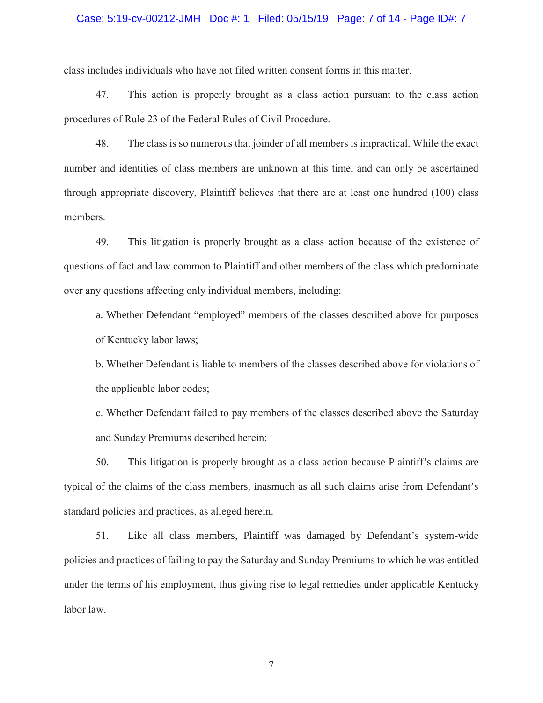### Case: 5:19-cv-00212-JMH Doc #: 1 Filed: 05/15/19 Page: 7 of 14 - Page ID#: 7

class includes individuals who have not filed written consent forms in this matter.

47. This action is properly brought as a class action pursuant to the class action procedures of Rule 23 of the Federal Rules of Civil Procedure.

48. The class is so numerous that joinder of all members is impractical. While the exact number and identities of class members are unknown at this time, and can only be ascertained through appropriate discovery, Plaintiff believes that there are at least one hundred (100) class members.

49. This litigation is properly brought as a class action because of the existence of questions of fact and law common to Plaintiff and other members of the class which predominate over any questions affecting only individual members, including:

a. Whether Defendant "employed" members of the classes described above for purposes of Kentucky labor laws;

b. Whether Defendant is liable to members of the classes described above for violations of the applicable labor codes;

c. Whether Defendant failed to pay members of the classes described above the Saturday and Sunday Premiums described herein;

50. This litigation is properly brought as a class action because Plaintiff's claims are typical of the claims of the class members, inasmuch as all such claims arise from Defendant's standard policies and practices, as alleged herein.

51. Like all class members, Plaintiff was damaged by Defendant's system-wide policies and practices of failing to pay the Saturday and Sunday Premiums to which he was entitled under the terms of his employment, thus giving rise to legal remedies under applicable Kentucky labor law.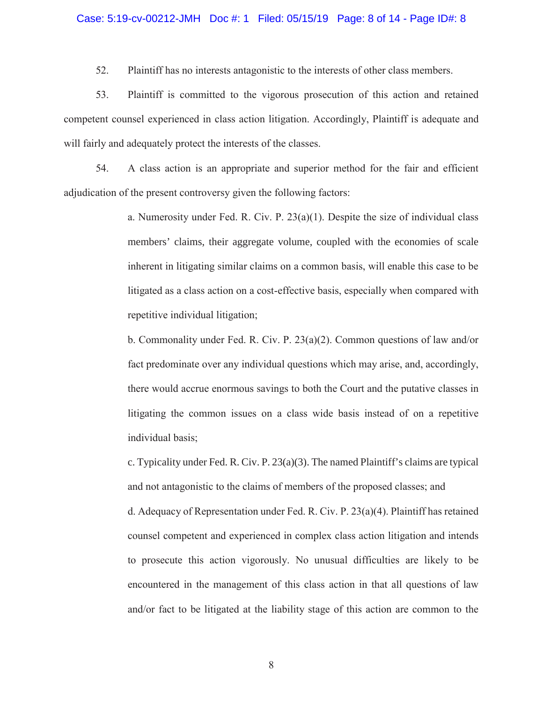### Case: 5:19-cv-00212-JMH Doc #: 1 Filed: 05/15/19 Page: 8 of 14 - Page ID#: 8

52. Plaintiff has no interests antagonistic to the interests of other class members.

53. Plaintiff is committed to the vigorous prosecution of this action and retained competent counsel experienced in class action litigation. Accordingly, Plaintiff is adequate and will fairly and adequately protect the interests of the classes.

54. A class action is an appropriate and superior method for the fair and efficient adjudication of the present controversy given the following factors:

> a. Numerosity under Fed. R. Civ. P.  $23(a)(1)$ . Despite the size of individual class members' claims, their aggregate volume, coupled with the economies of scale inherent in litigating similar claims on a common basis, will enable this case to be litigated as a class action on a cost-effective basis, especially when compared with repetitive individual litigation;

> b. Commonality under Fed. R. Civ. P. 23(a)(2). Common questions of law and/or fact predominate over any individual questions which may arise, and, accordingly, there would accrue enormous savings to both the Court and the putative classes in litigating the common issues on a class wide basis instead of on a repetitive individual basis;

> c. Typicality under Fed. R. Civ. P. 23(a)(3). The named Plaintiff's claims are typical and not antagonistic to the claims of members of the proposed classes; and

> d. Adequacy of Representation under Fed. R. Civ. P. 23(a)(4). Plaintiff has retained counsel competent and experienced in complex class action litigation and intends to prosecute this action vigorously. No unusual difficulties are likely to be encountered in the management of this class action in that all questions of law and/or fact to be litigated at the liability stage of this action are common to the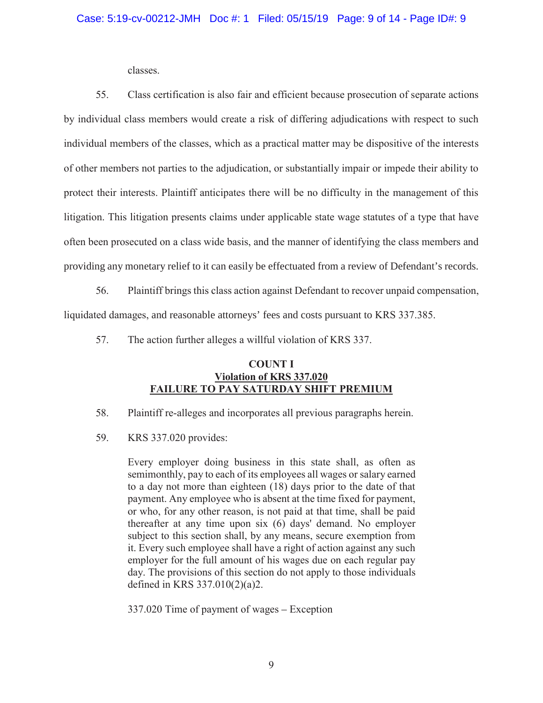classes.

55. Class certification is also fair and efficient because prosecution of separate actions by individual class members would create a risk of differing adjudications with respect to such individual members of the classes, which as a practical matter may be dispositive of the interests of other members not parties to the adjudication, or substantially impair or impede their ability to protect their interests. Plaintiff anticipates there will be no difficulty in the management of this litigation. This litigation presents claims under applicable state wage statutes of a type that have often been prosecuted on a class wide basis, and the manner of identifying the class members and providing any monetary relief to it can easily be effectuated from a review of Defendant's records.

56. Plaintiff brings this class action against Defendant to recover unpaid compensation, liquidated damages, and reasonable attorneys' fees and costs pursuant to KRS 337.385.

57. The action further alleges a willful violation of KRS 337.

## **COUNT I Violation of KRS 337.020 FAILURE TO PAY SATURDAY SHIFT PREMIUM**

- 58. Plaintiff re-alleges and incorporates all previous paragraphs herein.
- 59. KRS 337.020 provides:

Every employer doing business in this state shall, as often as semimonthly, pay to each of its employees all wages or salary earned to a day not more than eighteen (18) days prior to the date of that payment. Any employee who is absent at the time fixed for payment, or who, for any other reason, is not paid at that time, shall be paid thereafter at any time upon six (6) days' demand. No employer subject to this section shall, by any means, secure exemption from it. Every such employee shall have a right of action against any such employer for the full amount of his wages due on each regular pay day. The provisions of this section do not apply to those individuals defined in KRS 337.010(2)(a)2.

337.020 Time of payment of wages – Exception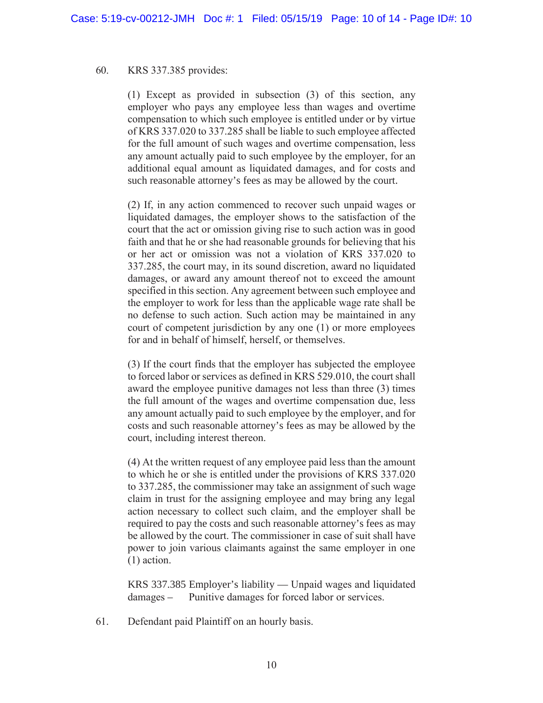## 60. KRS 337.385 provides:

(1) Except as provided in subsection (3) of this section, any employer who pays any employee less than wages and overtime compensation to which such employee is entitled under or by virtue of KRS 337.020 to 337.285 shall be liable to such employee affected for the full amount of such wages and overtime compensation, less any amount actually paid to such employee by the employer, for an additional equal amount as liquidated damages, and for costs and such reasonable attorney's fees as may be allowed by the court.

(2) If, in any action commenced to recover such unpaid wages or liquidated damages, the employer shows to the satisfaction of the court that the act or omission giving rise to such action was in good faith and that he or she had reasonable grounds for believing that his or her act or omission was not a violation of KRS 337.020 to 337.285, the court may, in its sound discretion, award no liquidated damages, or award any amount thereof not to exceed the amount specified in this section. Any agreement between such employee and the employer to work for less than the applicable wage rate shall be no defense to such action. Such action may be maintained in any court of competent jurisdiction by any one (1) or more employees for and in behalf of himself, herself, or themselves.

(3) If the court finds that the employer has subjected the employee to forced labor or services as defined in KRS 529.010, the court shall award the employee punitive damages not less than three (3) times the full amount of the wages and overtime compensation due, less any amount actually paid to such employee by the employer, and for costs and such reasonable attorney's fees as may be allowed by the court, including interest thereon.

(4) At the written request of any employee paid less than the amount to which he or she is entitled under the provisions of KRS 337.020 to 337.285, the commissioner may take an assignment of such wage claim in trust for the assigning employee and may bring any legal action necessary to collect such claim, and the employer shall be required to pay the costs and such reasonable attorney's fees as may be allowed by the court. The commissioner in case of suit shall have power to join various claimants against the same employer in one (1) action.

KRS 337.385 Employer's liability — Unpaid wages and liquidated damages – Punitive damages for forced labor or services.

61. Defendant paid Plaintiff on an hourly basis.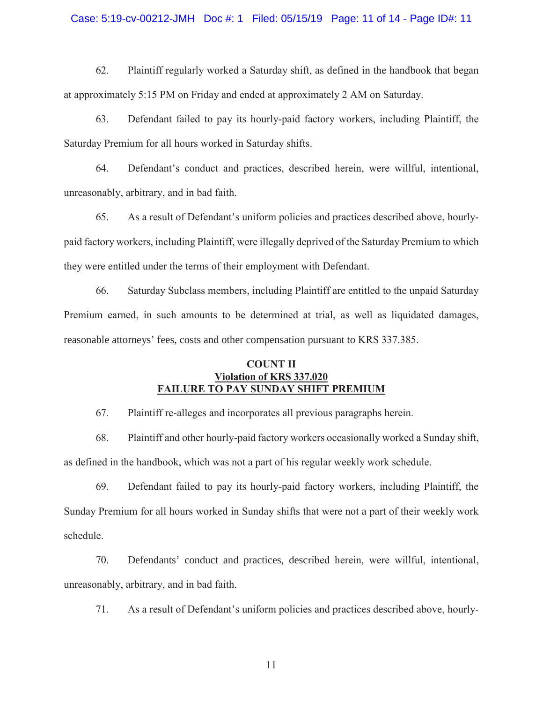### Case: 5:19-cv-00212-JMH Doc #: 1 Filed: 05/15/19 Page: 11 of 14 - Page ID#: 11

62. Plaintiff regularly worked a Saturday shift, as defined in the handbook that began at approximately 5:15 PM on Friday and ended at approximately 2 AM on Saturday.

63. Defendant failed to pay its hourly-paid factory workers, including Plaintiff, the Saturday Premium for all hours worked in Saturday shifts.

64. Defendant's conduct and practices, described herein, were willful, intentional, unreasonably, arbitrary, and in bad faith.

65. As a result of Defendant's uniform policies and practices described above, hourlypaid factory workers, including Plaintiff, were illegally deprived of the Saturday Premium to which they were entitled under the terms of their employment with Defendant.

66. Saturday Subclass members, including Plaintiff are entitled to the unpaid Saturday Premium earned, in such amounts to be determined at trial, as well as liquidated damages, reasonable attorneys' fees, costs and other compensation pursuant to KRS 337.385.

## **COUNT II Violation of KRS 337.020 FAILURE TO PAY SUNDAY SHIFT PREMIUM**

67. Plaintiff re-alleges and incorporates all previous paragraphs herein.

68. Plaintiff and other hourly-paid factory workers occasionally worked a Sunday shift, as defined in the handbook, which was not a part of his regular weekly work schedule.

69. Defendant failed to pay its hourly-paid factory workers, including Plaintiff, the Sunday Premium for all hours worked in Sunday shifts that were not a part of their weekly work schedule.

70. Defendants' conduct and practices, described herein, were willful, intentional, unreasonably, arbitrary, and in bad faith.

71. As a result of Defendant's uniform policies and practices described above, hourly-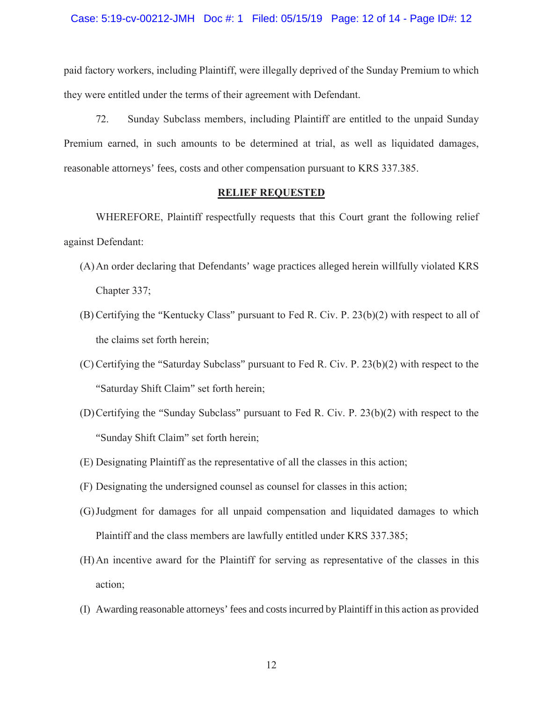### Case: 5:19-cv-00212-JMH Doc #: 1 Filed: 05/15/19 Page: 12 of 14 - Page ID#: 12

paid factory workers, including Plaintiff, were illegally deprived of the Sunday Premium to which they were entitled under the terms of their agreement with Defendant.

72. Sunday Subclass members, including Plaintiff are entitled to the unpaid Sunday Premium earned, in such amounts to be determined at trial, as well as liquidated damages, reasonable attorneys' fees, costs and other compensation pursuant to KRS 337.385.

## **RELIEF REQUESTED**

WHEREFORE, Plaintiff respectfully requests that this Court grant the following relief against Defendant:

- (A)An order declaring that Defendants' wage practices alleged herein willfully violated KRS Chapter 337;
- (B) Certifying the "Kentucky Class" pursuant to Fed R. Civ. P. 23(b)(2) with respect to all of the claims set forth herein;
- (C)Certifying the "Saturday Subclass" pursuant to Fed R. Civ. P. 23(b)(2) with respect to the "Saturday Shift Claim" set forth herein;
- (D)Certifying the "Sunday Subclass" pursuant to Fed R. Civ. P. 23(b)(2) with respect to the "Sunday Shift Claim" set forth herein;
- (E) Designating Plaintiff as the representative of all the classes in this action;
- (F) Designating the undersigned counsel as counsel for classes in this action;
- (G)Judgment for damages for all unpaid compensation and liquidated damages to which Plaintiff and the class members are lawfully entitled under KRS 337.385;
- (H)An incentive award for the Plaintiff for serving as representative of the classes in this action;
- (I) Awarding reasonable attorneys' fees and costs incurred by Plaintiff in this action as provided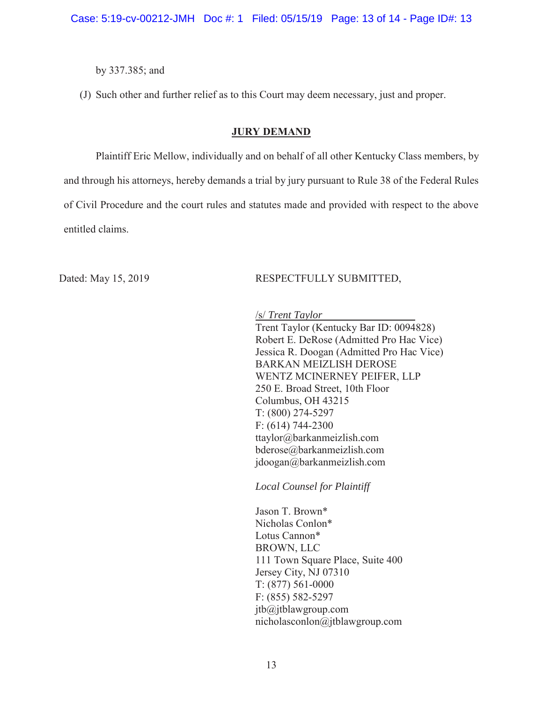Case: 5:19-cv-00212-JMH Doc #: 1 Filed: 05/15/19 Page: 13 of 14 - Page ID#: 13

by 337.385; and

(J) Such other and further relief as to this Court may deem necessary, just and proper.

### **JURY DEMAND**

Plaintiff Eric Mellow, individually and on behalf of all other Kentucky Class members, by and through his attorneys, hereby demands a trial by jury pursuant to Rule 38 of the Federal Rules of Civil Procedure and the court rules and statutes made and provided with respect to the above entitled claims.

## Dated: May 15, 2019 RESPECTFULLY SUBMITTED,

/s/ *Trent Taylor* 

Trent Taylor (Kentucky Bar ID: 0094828) Robert E. DeRose (Admitted Pro Hac Vice) Jessica R. Doogan (Admitted Pro Hac Vice) BARKAN MEIZLISH DEROSE WENTZ MCINERNEY PEIFER, LLP 250 E. Broad Street, 10th Floor Columbus, OH 43215 T: (800) 274-5297 F: (614) 744-2300 ttaylor@barkanmeizlish.com bderose@barkanmeizlish.com jdoogan@barkanmeizlish.com

*Local Counsel for Plaintiff*

Jason T. Brown\* Nicholas Conlon\* Lotus Cannon\* BROWN, LLC 111 Town Square Place, Suite 400 Jersey City, NJ 07310 T: (877) 561-0000 F: (855) 582-5297 jtb@jtblawgroup.com nicholasconlon@jtblawgroup.com